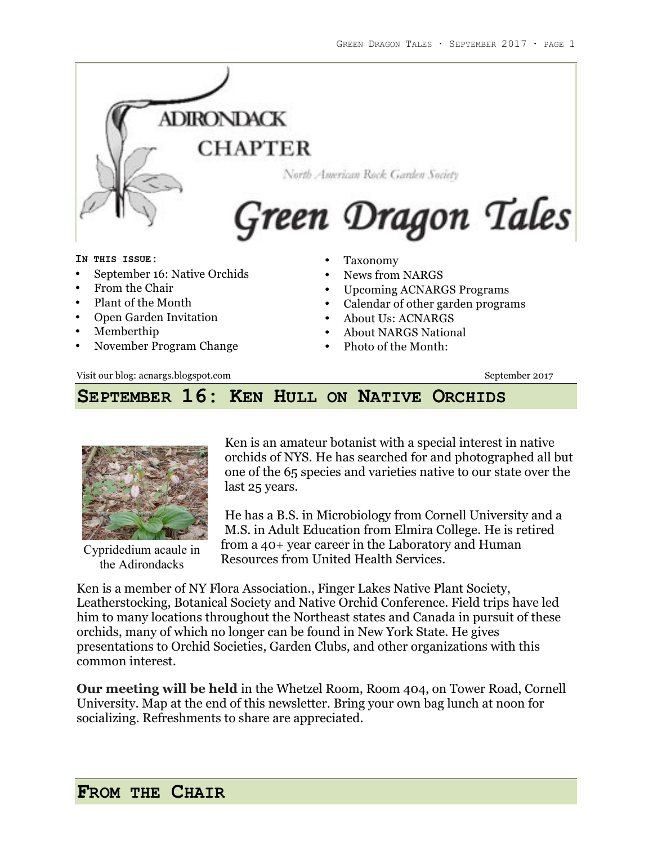

- About Us: ACNARGS
- About NARGS National
- Photo of the Month:

Visit our blog: acnargs.blogspot.com September 2017

• Open Garden Invitation

• November Program Change

• Memberthip

### **SEPTEMBER 16: KEN HULL ON NATIVE ORCHIDS**



Cypridedium acaule in the Adirondacks

Ken is an amateur botanist with a special interest in native orchids of NYS. He has searched for and photographed all but one of the 65 species and varieties native to our state over the last 25 years.

He has a B.S. in Microbiology from Cornell University and a M.S. in Adult Education from Elmira College. He is retired from a 40+ year career in the Laboratory and Human Resources from United Health Services.

Ken is a member of NY Flora Association., Finger Lakes Native Plant Society, Leatherstocking, Botanical Society and Native Orchid Conference. Field trips have led him to many locations throughout the Northeast states and Canada in pursuit of these orchids, many of which no longer can be found in New York State. He gives presentations to Orchid Societies, Garden Clubs, and other organizations with this common interest.

**Our meeting will be held** in the Whetzel Room, Room 404, on Tower Road, Cornell University. Map at the end of this newsletter. Bring your own bag lunch at noon for socializing. Refreshments to share are appreciated.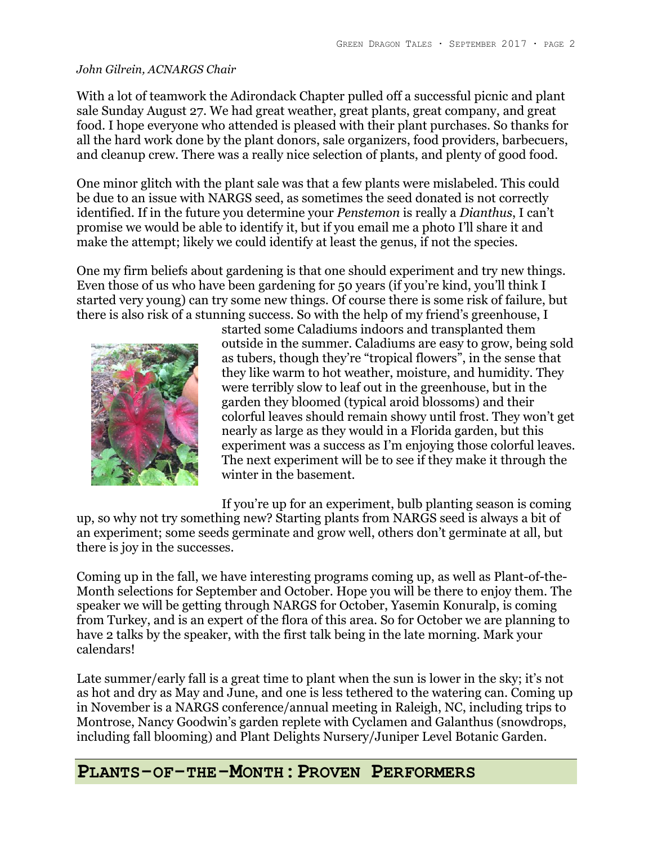### *John Gilrein, ACNARGS Chair*

With a lot of teamwork the Adirondack Chapter pulled off a successful picnic and plant sale Sunday August 27. We had great weather, great plants, great company, and great food. I hope everyone who attended is pleased with their plant purchases. So thanks for all the hard work done by the plant donors, sale organizers, food providers, barbecuers, and cleanup crew. There was a really nice selection of plants, and plenty of good food.

One minor glitch with the plant sale was that a few plants were mislabeled. This could be due to an issue with NARGS seed, as sometimes the seed donated is not correctly identified. If in the future you determine your *Penstemon* is really a *Dianthus*, I can't promise we would be able to identify it, but if you email me a photo I'll share it and make the attempt; likely we could identify at least the genus, if not the species.

One my firm beliefs about gardening is that one should experiment and try new things. Even those of us who have been gardening for 50 years (if you're kind, you'll think I started very young) can try some new things. Of course there is some risk of failure, but there is also risk of a stunning success. So with the help of my friend's greenhouse, I



started some Caladiums indoors and transplanted them outside in the summer. Caladiums are easy to grow, being sold as tubers, though they're "tropical flowers", in the sense that they like warm to hot weather, moisture, and humidity. They were terribly slow to leaf out in the greenhouse, but in the garden they bloomed (typical aroid blossoms) and their colorful leaves should remain showy until frost. They won't get nearly as large as they would in a Florida garden, but this experiment was a success as I'm enjoying those colorful leaves. The next experiment will be to see if they make it through the winter in the basement.

If you're up for an experiment, bulb planting season is coming

up, so why not try something new? Starting plants from NARGS seed is always a bit of an experiment; some seeds germinate and grow well, others don't germinate at all, but there is joy in the successes.

Coming up in the fall, we have interesting programs coming up, as well as Plant-of-the-Month selections for September and October. Hope you will be there to enjoy them. The speaker we will be getting through NARGS for October, Yasemin Konuralp, is coming from Turkey, and is an expert of the flora of this area. So for October we are planning to have 2 talks by the speaker, with the first talk being in the late morning. Mark your calendars!

Late summer/early fall is a great time to plant when the sun is lower in the sky; it's not as hot and dry as May and June, and one is less tethered to the watering can. Coming up in November is a NARGS conference/annual meeting in Raleigh, NC, including trips to Montrose, Nancy Goodwin's garden replete with Cyclamen and Galanthus (snowdrops, including fall blooming) and Plant Delights Nursery/Juniper Level Botanic Garden.

### **PLANTS-OF-THE-MONTH:PROVEN PERFORMERS**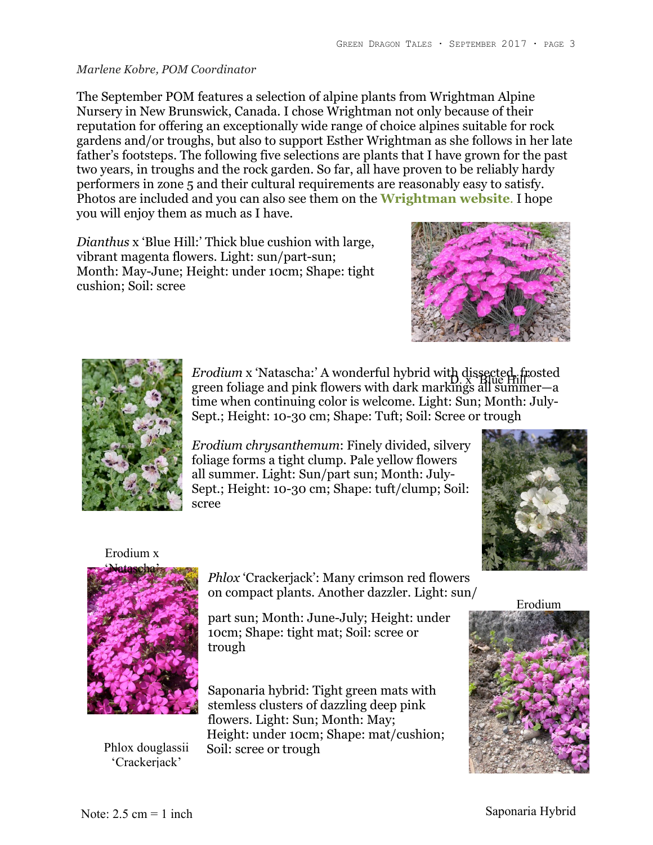#### *Marlene Kobre, POM Coordinator*

The September POM features a selection of alpine plants from Wrightman Alpine Nursery in New Brunswick, Canada. I chose Wrightman not only because of their reputation for offering an exceptionally wide range of choice alpines suitable for rock gardens and/or troughs, but also to support Esther Wrightman as she follows in her late father's footsteps. The following five selections are plants that I have grown for the past two years, in troughs and the rock garden. So far, all have proven to be reliably hardy performers in zone 5 and their cultural requirements are reasonably easy to satisfy. Photos are included and you can also see them on the **Wrightman website**. I hope you will enjoy them as much as I have.

*Dianthus* x 'Blue Hill:' Thick blue cushion with large, vibrant magenta flowers. Light: sun/part-sun; Month: May-June; Height: under 10cm; Shape: tight cushion; Soil: scree





*Erodium* x 'Natascha:' A wonderful hybrid with dissected, frosted Erbatam & Natascha: A wonderful hybrid with us spite Hill-<br>green foliage and pink flowers with dark markings all summer—a time when continuing color is welcome. Light: Sun; Month: July-Sept.; Height: 10-30 cm; Shape: Tuft; Soil: Scree or trough

*Erodium chrysanthemum*: Finely divided, silvery foliage forms a tight clump. Pale yellow flowers all summer. Light: Sun/part sun; Month: July-Sept.; Height: 10-30 cm; Shape: tuft/clump; Soil: scree



#### Erodium x



'Crackerjack'

*Phlox* 'Crackerjack': Many crimson red flowers on compact plants. Another dazzler. Light: sun/

part sun; Month: June-July; Height: under 10cm; Shape: tight mat; Soil: scree or trough

Saponaria hybrid: Tight green mats with stemless clusters of dazzling deep pink flowers. Light: Sun; Month: May; Height: under 10cm; Shape: mat/cushion; Phlox douglassii Soil: scree or trough

Erodium

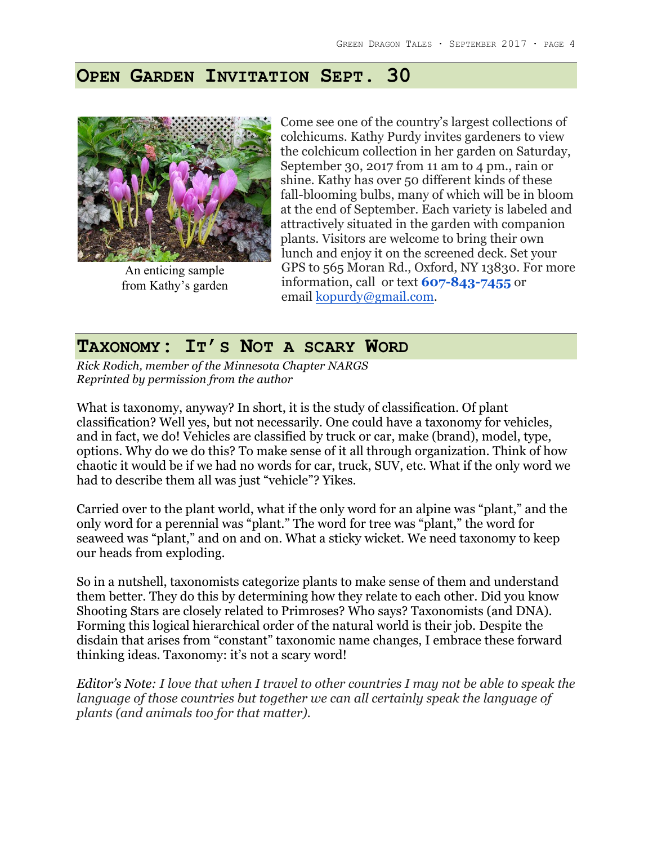### **OPEN GARDEN INVITATION SEPT. 30**



An enticing sample from Kathy's garden

Come see one of the country's largest collections of colchicums. Kathy Purdy invites gardeners to view the colchicum collection in her garden on Saturday, September 30, 2017 from 11 am to 4 pm., rain or shine. Kathy has over 50 different kinds of these fall-blooming bulbs, many of which will be in bloom at the end of September. Each variety is labeled and attractively situated in the garden with companion plants. Visitors are welcome to bring their own lunch and enjoy it on the screened deck. Set your GPS to 565 Moran Rd., Oxford, NY 13830. For more information, call or text **607-843-7455** or email kopurdy@gmail.com.

### **TAXONOMY: IT'S NOT A SCARY WORD**

*Rick Rodich, member of the Minnesota Chapter NARGS Reprinted by permission from the author*

What is taxonomy, anyway? In short, it is the study of classification. Of plant classification? Well yes, but not necessarily. One could have a taxonomy for vehicles, and in fact, we do! Vehicles are classified by truck or car, make (brand), model, type, options. Why do we do this? To make sense of it all through organization. Think of how chaotic it would be if we had no words for car, truck, SUV, etc. What if the only word we had to describe them all was just "vehicle"? Yikes.

Carried over to the plant world, what if the only word for an alpine was "plant," and the only word for a perennial was "plant." The word for tree was "plant," the word for seaweed was "plant," and on and on. What a sticky wicket. We need taxonomy to keep our heads from exploding.

So in a nutshell, taxonomists categorize plants to make sense of them and understand them better. They do this by determining how they relate to each other. Did you know Shooting Stars are closely related to Primroses? Who says? Taxonomists (and DNA). Forming this logical hierarchical order of the natural world is their job. Despite the disdain that arises from "constant" taxonomic name changes, I embrace these forward thinking ideas. Taxonomy: it's not a scary word!

*Editor's Note: I love that when I travel to other countries I may not be able to speak the language of those countries but together we can all certainly speak the language of plants (and animals too for that matter).*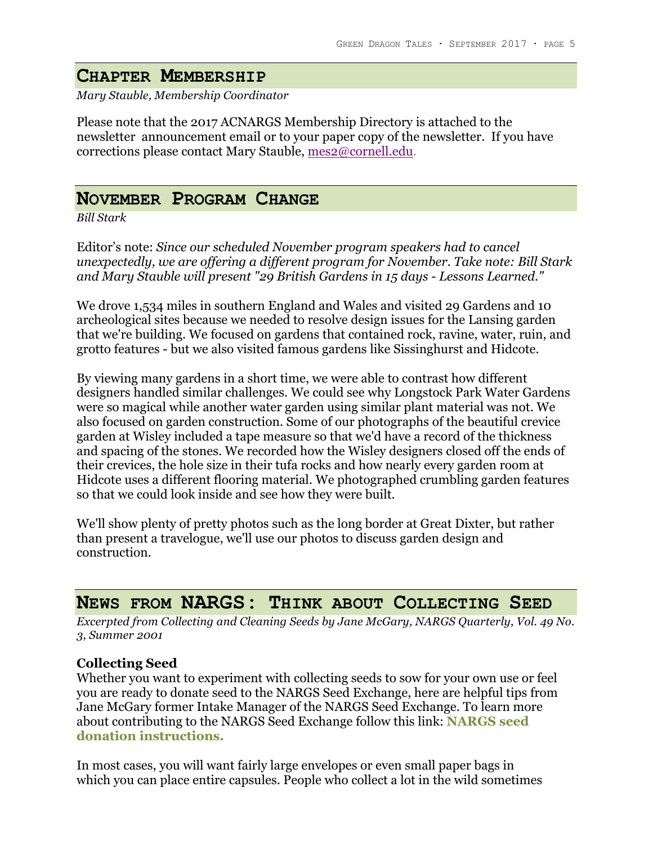# **CHAPTER MEMBERSHIP**

*Mary Stauble, Membership Coordinator*

Please note that the 2017 ACNARGS Membership Directory is attached to the newsletter announcement email or to your paper copy of the newsletter. If you have corrections please contact Mary Stauble, mes2@cornell.edu.

### **NOVEMBER PROGRAM CHANGE**

*Bill Stark*

Editor's note: *Since our scheduled November program speakers had to cancel unexpectedly, we are offering a different program for November. Take note: Bill Stark and Mary Stauble will present "29 British Gardens in 15 days - Lessons Learned."*

We drove 1,534 miles in southern England and Wales and visited 29 Gardens and 10 archeological sites because we needed to resolve design issues for the Lansing garden that we're building. We focused on gardens that contained rock, ravine, water, ruin, and grotto features - but we also visited famous gardens like Sissinghurst and Hidcote.

By viewing many gardens in a short time, we were able to contrast how different designers handled similar challenges. We could see why Longstock Park Water Gardens were so magical while another water garden using similar plant material was not. We also focused on garden construction. Some of our photographs of the beautiful crevice garden at Wisley included a tape measure so that we'd have a record of the thickness and spacing of the stones. We recorded how the Wisley designers closed off the ends of their crevices, the hole size in their tufa rocks and how nearly every garden room at Hidcote uses a different flooring material. We photographed crumbling garden features so that we could look inside and see how they were built.

We'll show plenty of pretty photos such as the long border at Great Dixter, but rather than present a travelogue, we'll use our photos to discuss garden design and construction.

### **NEWS FROM NARGS: THINK ABOUT COLLECTING SEED**

*Excerpted from Collecting and Cleaning Seeds by Jane McGary, NARGS Quarterly, Vol. 49 No. 3, Summer 2001*

### **Collecting Seed**

Whether you want to experiment with collecting seeds to sow for your own use or feel you are ready to donate seed to the NARGS Seed Exchange, here are helpful tips from Jane McGary former Intake Manager of the NARGS Seed Exchange. To learn more about contributing to the NARGS Seed Exchange follow this link: **NARGS seed donation instructions.**

In most cases, you will want fairly large envelopes or even small paper bags in which you can place entire capsules. People who collect a lot in the wild sometimes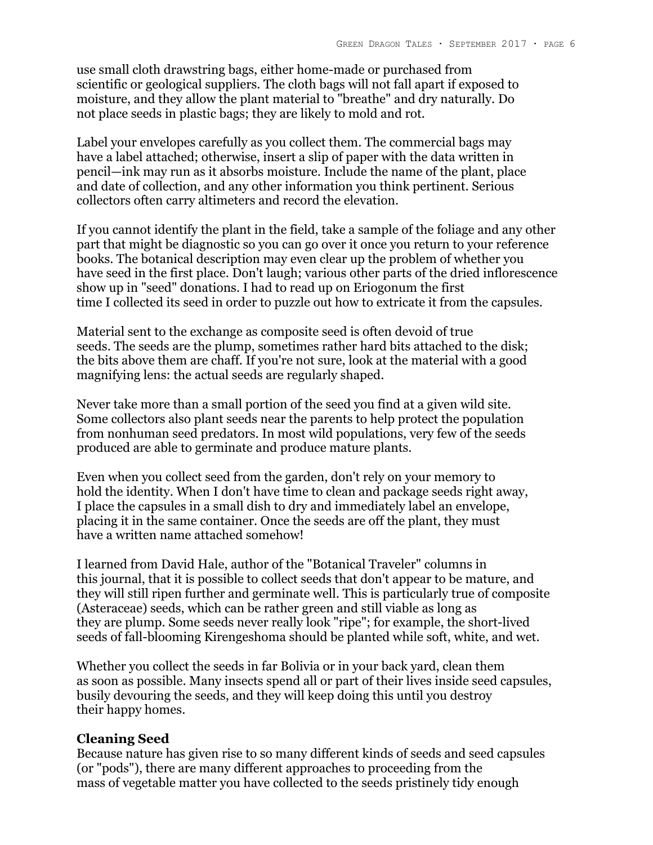use small cloth drawstring bags, either home-made or purchased from scientific or geological suppliers. The cloth bags will not fall apart if exposed to moisture, and they allow the plant material to "breathe" and dry naturally. Do not place seeds in plastic bags; they are likely to mold and rot.

Label your envelopes carefully as you collect them. The commercial bags may have a label attached; otherwise, insert a slip of paper with the data written in pencil—ink may run as it absorbs moisture. Include the name of the plant, place and date of collection, and any other information you think pertinent. Serious collectors often carry altimeters and record the elevation.

If you cannot identify the plant in the field, take a sample of the foliage and any other part that might be diagnostic so you can go over it once you return to your reference books. The botanical description may even clear up the problem of whether you have seed in the first place. Don't laugh; various other parts of the dried inflorescence show up in "seed" donations. I had to read up on Eriogonum the first time I collected its seed in order to puzzle out how to extricate it from the capsules.

Material sent to the exchange as composite seed is often devoid of true seeds. The seeds are the plump, sometimes rather hard bits attached to the disk; the bits above them are chaff. If you're not sure, look at the material with a good magnifying lens: the actual seeds are regularly shaped.

Never take more than a small portion of the seed you find at a given wild site. Some collectors also plant seeds near the parents to help protect the population from nonhuman seed predators. In most wild populations, very few of the seeds produced are able to germinate and produce mature plants.

Even when you collect seed from the garden, don't rely on your memory to hold the identity. When I don't have time to clean and package seeds right away, I place the capsules in a small dish to dry and immediately label an envelope, placing it in the same container. Once the seeds are off the plant, they must have a written name attached somehow!

I learned from David Hale, author of the "Botanical Traveler" columns in this journal, that it is possible to collect seeds that don't appear to be mature, and they will still ripen further and germinate well. This is particularly true of composite (Asteraceae) seeds, which can be rather green and still viable as long as they are plump. Some seeds never really look "ripe"; for example, the short-lived seeds of fall-blooming Kirengeshoma should be planted while soft, white, and wet.

Whether you collect the seeds in far Bolivia or in your back yard, clean them as soon as possible. Many insects spend all or part of their lives inside seed capsules, busily devouring the seeds, and they will keep doing this until you destroy their happy homes.

#### **Cleaning Seed**

Because nature has given rise to so many different kinds of seeds and seed capsules (or "pods"), there are many different approaches to proceeding from the mass of vegetable matter you have collected to the seeds pristinely tidy enough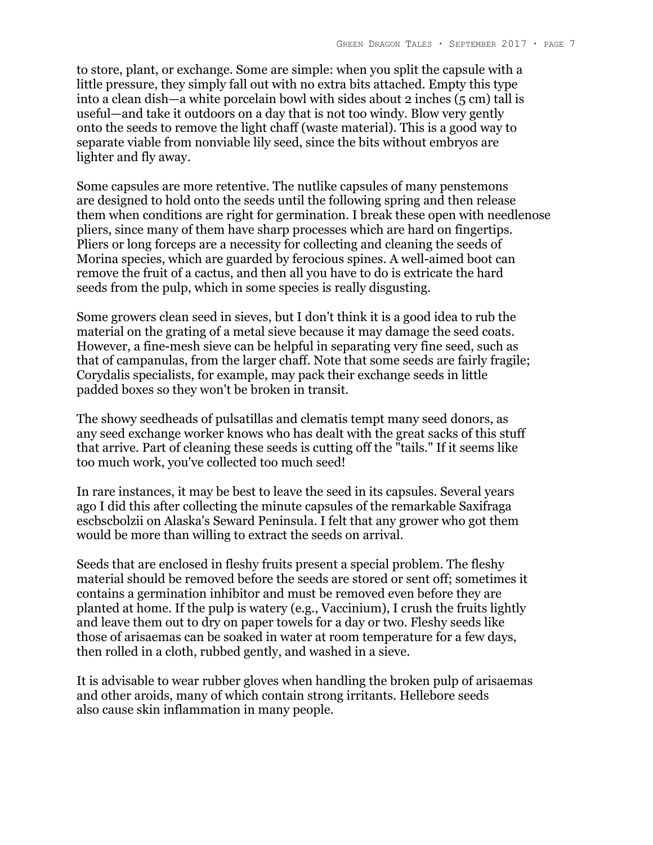to store, plant, or exchange. Some are simple: when you split the capsule with a little pressure, they simply fall out with no extra bits attached. Empty this type into a clean dish—a white porcelain bowl with sides about 2 inches (5 cm) tall is useful—and take it outdoors on a day that is not too windy. Blow very gently onto the seeds to remove the light chaff (waste material). This is a good way to separate viable from nonviable lily seed, since the bits without embryos are lighter and fly away.

Some capsules are more retentive. The nutlike capsules of many penstemons are designed to hold onto the seeds until the following spring and then release them when conditions are right for germination. I break these open with needlenose pliers, since many of them have sharp processes which are hard on fingertips. Pliers or long forceps are a necessity for collecting and cleaning the seeds of Morina species, which are guarded by ferocious spines. A well-aimed boot can remove the fruit of a cactus, and then all you have to do is extricate the hard seeds from the pulp, which in some species is really disgusting.

Some growers clean seed in sieves, but I don't think it is a good idea to rub the material on the grating of a metal sieve because it may damage the seed coats. However, a fine-mesh sieve can be helpful in separating very fine seed, such as that of campanulas, from the larger chaff. Note that some seeds are fairly fragile; Corydalis specialists, for example, may pack their exchange seeds in little padded boxes so they won't be broken in transit.

The showy seedheads of pulsatillas and clematis tempt many seed donors, as any seed exchange worker knows who has dealt with the great sacks of this stuff that arrive. Part of cleaning these seeds is cutting off the "tails." If it seems like too much work, you've collected too much seed!

In rare instances, it may be best to leave the seed in its capsules. Several years ago I did this after collecting the minute capsules of the remarkable Saxifraga escbscbolzii on Alaska's Seward Peninsula. I felt that any grower who got them would be more than willing to extract the seeds on arrival.

Seeds that are enclosed in fleshy fruits present a special problem. The fleshy material should be removed before the seeds are stored or sent off; sometimes it contains a germination inhibitor and must be removed even before they are planted at home. If the pulp is watery (e.g., Vaccinium), I crush the fruits lightly and leave them out to dry on paper towels for a day or two. Fleshy seeds like those of arisaemas can be soaked in water at room temperature for a few days, then rolled in a cloth, rubbed gently, and washed in a sieve.

It is advisable to wear rubber gloves when handling the broken pulp of arisaemas and other aroids, many of which contain strong irritants. Hellebore seeds also cause skin inflammation in many people.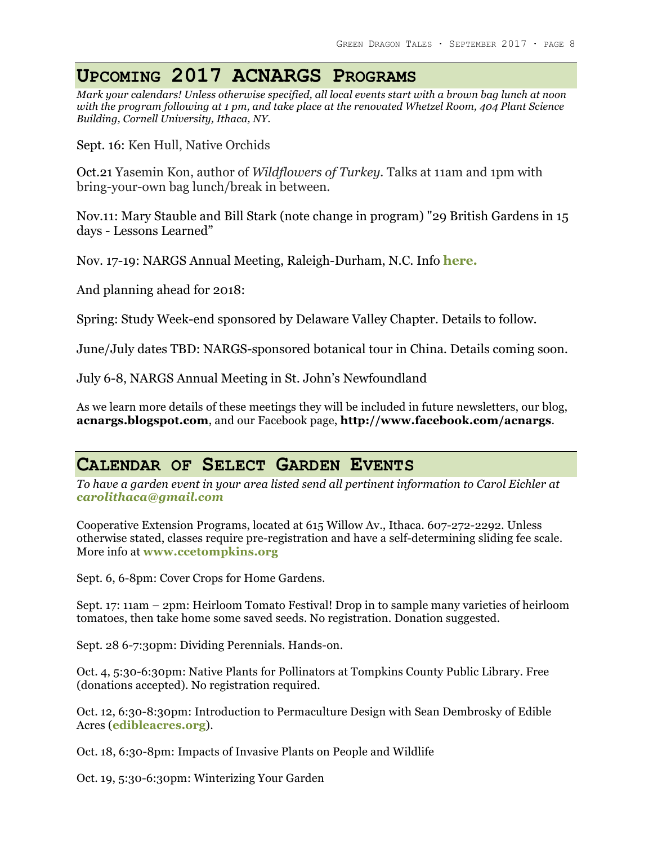# **UPCOMING 2017 ACNARGS PROGRAMS**

*Mark your calendars! Unless otherwise specified, all local events start with a brown bag lunch at noon with the program following at 1 pm, and take place at the renovated Whetzel Room, 404 Plant Science Building, Cornell University, Ithaca, NY.*

Sept. 16: Ken Hull, Native Orchids

Oct.21 Yasemin Kon, author of *Wildflowers of Turkey.* Talks at 11am and 1pm with bring-your-own bag lunch/break in between.

Nov.11: Mary Stauble and Bill Stark (note change in program) "29 British Gardens in 15 days - Lessons Learned"

Nov. 17-19: NARGS Annual Meeting, Raleigh-Durham, N.C. Info **here.**

And planning ahead for 2018:

Spring: Study Week-end sponsored by Delaware Valley Chapter. Details to follow.

June/July dates TBD: NARGS-sponsored botanical tour in China. Details coming soon.

July 6-8, NARGS Annual Meeting in St. John's Newfoundland

As we learn more details of these meetings they will be included in future newsletters, our blog, **acnargs.blogspot.com**, and our Facebook page, **http://www.facebook.com/acnargs**.

## **CALENDAR OF SELECT GARDEN EVENTS**

*To have a garden event in your area listed send all pertinent information to Carol Eichler at carolithaca@gmail.com*

Cooperative Extension Programs, located at 615 Willow Av., Ithaca. 607-272-2292. Unless otherwise stated, classes require pre-registration and have a self-determining sliding fee scale. More info at **www.ccetompkins.org**

Sept. 6, 6-8pm: Cover Crops for Home Gardens.

Sept. 17: 11am – 2pm: Heirloom Tomato Festival! Drop in to sample many varieties of heirloom tomatoes, then take home some saved seeds. No registration. Donation suggested.

Sept. 28 6-7:30pm: Dividing Perennials. Hands-on.

Oct. 4, 5:30-6:30pm: Native Plants for Pollinators at Tompkins County Public Library. Free (donations accepted). No registration required.

Oct. 12, 6:30-8:30pm: Introduction to Permaculture Design with Sean Dembrosky of Edible Acres (**edibleacres.org**).

Oct. 18, 6:30-8pm: Impacts of Invasive Plants on People and Wildlife

Oct. 19, 5:30-6:30pm: Winterizing Your Garden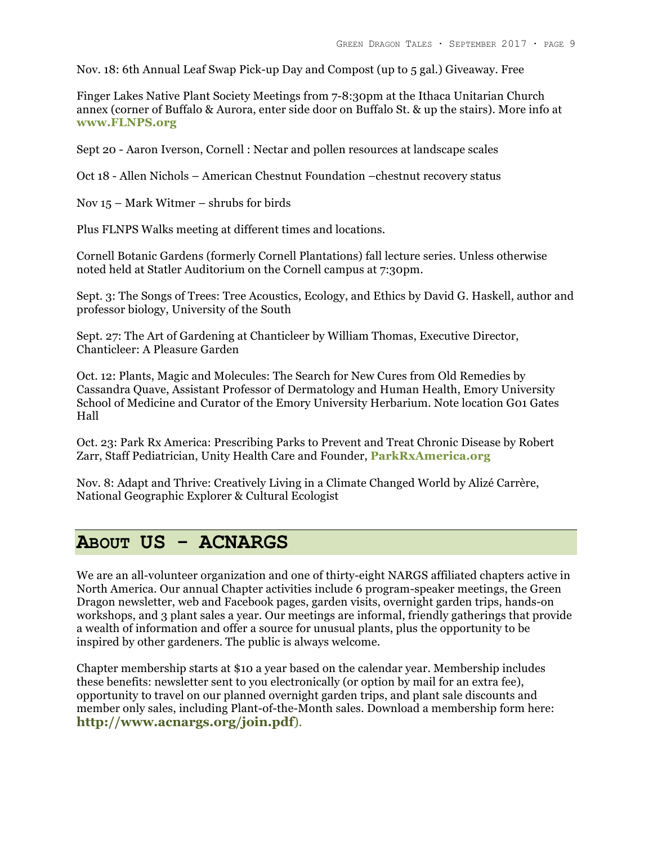Nov. 18: 6th Annual Leaf Swap Pick-up Day and Compost (up to 5 gal.) Giveaway. Free

Finger Lakes Native Plant Society Meetings from 7-8:30pm at the Ithaca Unitarian Church annex (corner of Buffalo & Aurora, enter side door on Buffalo St. & up the stairs). More info at **www.FLNPS.org**

Sept 20 - Aaron Iverson, Cornell : Nectar and pollen resources at landscape scales

Oct 18 - Allen Nichols – American Chestnut Foundation –chestnut recovery status

Nov 15 – Mark Witmer – shrubs for birds

Plus FLNPS Walks meeting at different times and locations.

Cornell Botanic Gardens (formerly Cornell Plantations) fall lecture series. Unless otherwise noted held at Statler Auditorium on the Cornell campus at 7:30pm.

Sept. 3: The Songs of Trees: Tree Acoustics, Ecology, and Ethics by David G. Haskell, author and professor biology, University of the South

Sept. 27: The Art of Gardening at Chanticleer by William Thomas, Executive Director, Chanticleer: A Pleasure Garden

Oct. 12: Plants, Magic and Molecules: The Search for New Cures from Old Remedies by Cassandra Quave, Assistant Professor of Dermatology and Human Health, Emory University School of Medicine and Curator of the Emory University Herbarium. Note location G01 Gates Hall

Oct. 23: Park Rx America: Prescribing Parks to Prevent and Treat Chronic Disease by Robert Zarr, Staff Pediatrician, Unity Health Care and Founder, **ParkRxAmerica.org**

Nov. 8: Adapt and Thrive: Creatively Living in a Climate Changed World by Alizé Carrère, National Geographic Explorer & Cultural Ecologist

## **ABOUT US - ACNARGS**

We are an all-volunteer organization and one of thirty-eight NARGS affiliated chapters active in North America. Our annual Chapter activities include 6 program-speaker meetings, the Green Dragon newsletter, web and Facebook pages, garden visits, overnight garden trips, hands-on workshops, and 3 plant sales a year. Our meetings are informal, friendly gatherings that provide a wealth of information and offer a source for unusual plants, plus the opportunity to be inspired by other gardeners. The public is always welcome.

Chapter membership starts at \$10 a year based on the calendar year. Membership includes these benefits: newsletter sent to you electronically (or option by mail for an extra fee), opportunity to travel on our planned overnight garden trips, and plant sale discounts and member only sales, including Plant-of-the-Month sales. Download a membership form here: **http://www.acnargs.org/join.pdf**).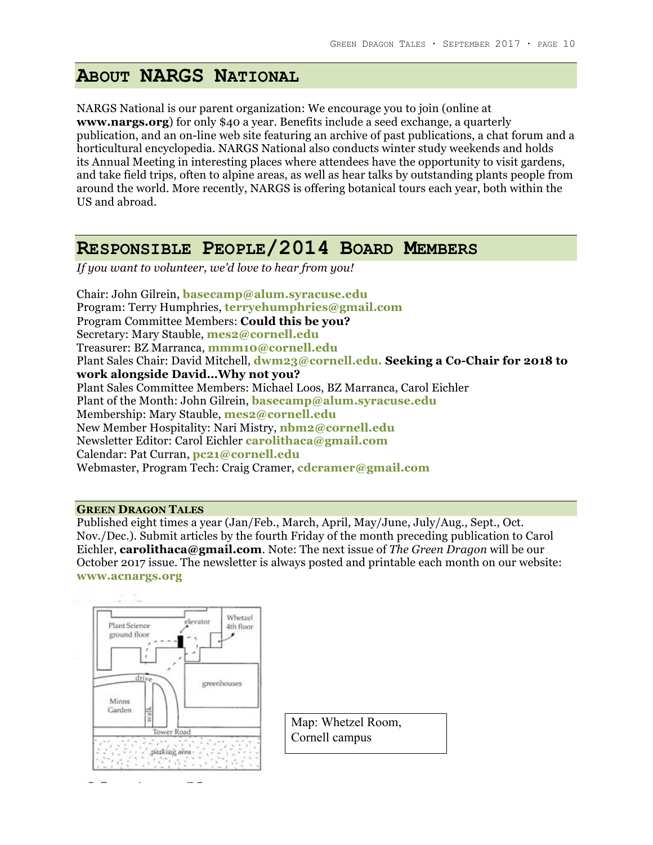## **ABOUT NARGS NATIONAL**

NARGS National is our parent organization: We encourage you to join (online at **www.nargs.org**) for only \$40 a year. Benefits include a seed exchange, a quarterly publication, and an on-line web site featuring an archive of past publications, a chat forum and a horticultural encyclopedia. NARGS National also conducts winter study weekends and holds its Annual Meeting in interesting places where attendees have the opportunity to visit gardens, and take field trips, often to alpine areas, as well as hear talks by outstanding plants people from around the world. More recently, NARGS is offering botanical tours each year, both within the US and abroad.

### **RESPONSIBLE PEOPLE/2014 BOARD MEMBERS**

*If you want to volunteer, we'd love to hear from you!*

Chair: John Gilrein, **basecamp@alum.syracuse.edu** Program: Terry Humphries, **terryehumphries@gmail.com** Program Committee Members: **Could this be you?** Secretary: Mary Stauble, **mes2@cornell.edu** Treasurer: BZ Marranca, **mmm10@cornell.edu** Plant Sales Chair: David Mitchell, **dwm23@cornell.edu. Seeking a Co-Chair for 2018 to work alongside David…Why not you?** Plant Sales Committee Members: Michael Loos, BZ Marranca, Carol Eichler Plant of the Month: John Gilrein, **basecamp@alum.syracuse.edu** Membership: Mary Stauble, **mes2@cornell.edu** New Member Hospitality: Nari Mistry, **nbm2@cornell.edu** Newsletter Editor: Carol Eichler **carolithaca@gmail.com** Calendar: Pat Curran, **pc21@cornell.edu** Webmaster, Program Tech: Craig Cramer, **cdcramer@gmail.com**

#### **GREEN DRAGON TALES**

Published eight times a year (Jan/Feb., March, April, May/June, July/Aug., Sept., Oct. Nov./Dec.). Submit articles by the fourth Friday of the month preceding publication to Carol Eichler, **carolithaca@gmail.com**. Note: The next issue of *The Green Dragon* will be our October 2017 issue. The newsletter is always posted and printable each month on our website: **www.acnargs.org**



Map: Whetzel Room, Cornell campus